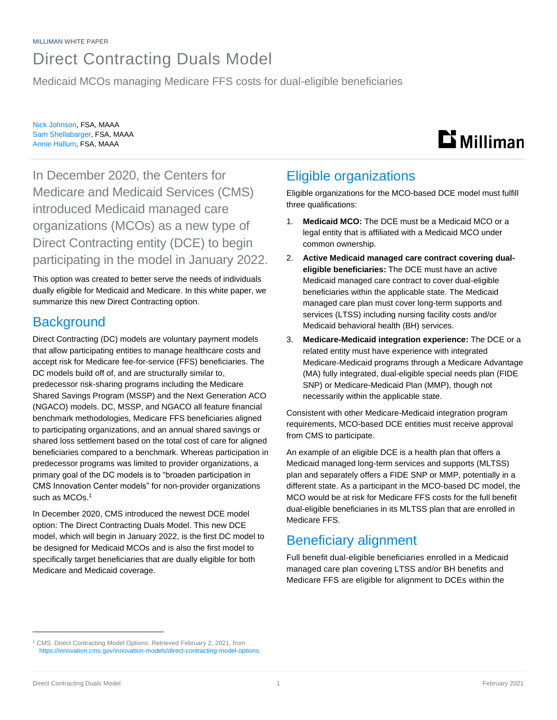# Direct Contracting Duals Model

Medicaid MCOs managing Medicare FFS costs for dual-eligible beneficiaries

Nick Johnson, FSA, MAAA Sam Shellabarger, FSA, MAAA Annie Hallum, FSA, MAAA

# **Li** Milliman

In December 2020, the Centers for Medicare and Medicaid Services (CMS) introduced Medicaid managed care organizations (MCOs) as a new type of Direct Contracting entity (DCE) to begin participating in the model in January 2022.

This option was created to better serve the needs of individuals dually eligible for Medicaid and Medicare. In this white paper, we summarize this new Direct Contracting option.

## **Background**

Direct Contracting (DC) models are voluntary payment models that allow participating entities to manage healthcare costs and accept risk for Medicare fee-for-service (FFS) beneficiaries. The DC models build off of, and are structurally similar to, predecessor risk-sharing programs including the Medicare Shared Savings Program (MSSP) and the Next Generation ACO (NGACO) models. DC, MSSP, and NGACO all feature financial benchmark methodologies, Medicare FFS beneficiaries aligned to participating organizations, and an annual shared savings or shared loss settlement based on the total cost of care for aligned beneficiaries compared to a benchmark. Whereas participation in predecessor programs was limited to provider organizations, a primary goal of the DC models is to "broaden participation in CMS Innovation Center models" for non-provider organizations such as MCOs. 1

In December 2020, CMS introduced the newest DCE model option: The Direct Contracting Duals Model. This new DCE model, which will begin in January 2022, is the first DC model to be designed for Medicaid MCOs and is also the first model to specifically target beneficiaries that are dually eligible for both Medicare and Medicaid coverage.

# Eligible organizations

Eligible organizations for the MCO-based DCE model must fulfill three qualifications:

- 1. **Medicaid MCO:** The DCE must be a Medicaid MCO or a legal entity that is affiliated with a Medicaid MCO under common ownership.
- 2. **Active Medicaid managed care contract covering dualeligible beneficiaries:** The DCE must have an active Medicaid managed care contract to cover dual-eligible beneficiaries within the applicable state. The Medicaid managed care plan must cover long-term supports and services (LTSS) including nursing facility costs and/or Medicaid behavioral health (BH) services.
- 3. **Medicare-Medicaid integration experience:** The DCE or a related entity must have experience with integrated Medicare-Medicaid programs through a Medicare Advantage (MA) fully integrated, dual-eligible special needs plan (FIDE SNP) or Medicare-Medicaid Plan (MMP), though not necessarily within the applicable state.

Consistent with other Medicare-Medicaid integration program requirements, MCO-based DCE entities must receive approval from CMS to participate.

An example of an eligible DCE is a health plan that offers a Medicaid managed long-term services and supports (MLTSS) plan and separately offers a FIDE SNP or MMP, potentially in a different state. As a participant in the MCO-based DC model, the MCO would be at risk for Medicare FFS costs for the full benefit dual-eligible beneficiaries in its MLTSS plan that are enrolled in Medicare FFS.

## Beneficiary alignment

Full benefit dual-eligible beneficiaries enrolled in a Medicaid managed care plan covering LTSS and/or BH benefits and Medicare FFS are eligible for alignment to DCEs within the

<sup>1</sup> CMS. Direct Contracting Model Options. Retrieved February 2, 2021, from [https://innovation.cms.gov/innovation-models/direct-contracting-model-options.](https://innovation.cms.gov/innovation-models/direct-contracting-model-options)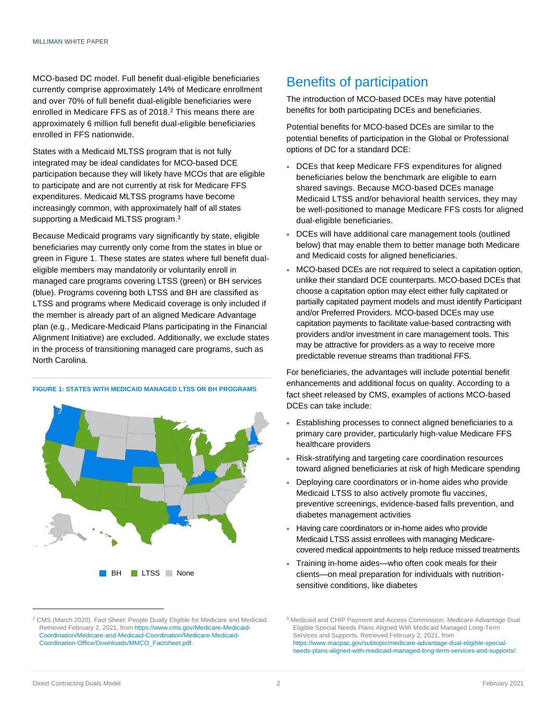MCO-based DC model. Full benefit dual-eligible beneficiaries currently comprise approximately 14% of Medicare enrollment and over 70% of full benefit dual-eligible beneficiaries were enrolled in Medicare FFS as of 2018. <sup>2</sup> This means there are approximately 6 million full benefit dual-eligible beneficiaries enrolled in FFS nationwide.

States with a Medicaid MLTSS program that is not fully integrated may be ideal candidates for MCO-based DCE participation because they will likely have MCOs that are eligible to participate and are not currently at risk for Medicare FFS expenditures. Medicaid MLTSS programs have become increasingly common, with approximately half of all states supporting a Medicaid MLTSS program.<sup>3</sup>

Because Medicaid programs vary significantly by state, eligible beneficiaries may currently only come from the states in blue or green in Figure 1. These states are states where full benefit dualeligible members may mandatorily or voluntarily enroll in managed care programs covering LTSS (green) or BH services (blue). Programs covering both LTSS and BH are classified as LTSS and programs where Medicaid coverage is only included if the member is already part of an aligned Medicare Advantage plan (e.g., Medicare-Medicaid Plans participating in the Financial Alignment Initiative) are excluded. Additionally, we exclude states in the process of transitioning managed care programs, such as North Carolina.



#### **FIGURE 1: STATES WITH MEDICAID MANAGED LTSS OR BH PROGRAMS**

### Benefits of participation

The introduction of MCO-based DCEs may have potential benefits for both participating DCEs and beneficiaries.

Potential benefits for MCO-based DCEs are similar to the potential benefits of participation in the Global or Professional options of DC for a standard DCE:

- DCEs that keep Medicare FFS expenditures for aligned beneficiaries below the benchmark are eligible to earn shared savings. Because MCO-based DCEs manage Medicaid LTSS and/or behavioral health services, they may be well-positioned to manage Medicare FFS costs for aligned dual-eligible beneficiaries.
- DCEs will have additional care management tools (outlined below) that may enable them to better manage both Medicare and Medicaid costs for aligned beneficiaries.
- MCO-based DCEs are not required to select a capitation option, unlike their standard DCE counterparts. MCO-based DCEs that choose a capitation option may elect either fully capitated or partially capitated payment models and must identify Participant and/or Preferred Providers. MCO-based DCEs may use capitation payments to facilitate value-based contracting with providers and/or investment in care management tools. This may be attractive for providers as a way to receive more predictable revenue streams than traditional FFS.

For beneficiaries, the advantages will include potential benefit enhancements and additional focus on quality. According to a fact sheet released by CMS, examples of actions MCO-based DCEs can take include:

- Establishing processes to connect aligned beneficiaries to a primary care provider, particularly high-value Medicare FFS healthcare providers
- Risk-stratifying and targeting care coordination resources toward aligned beneficiaries at risk of high Medicare spending
- Deploying care coordinators or in-home aides who provide Medicaid LTSS to also actively promote flu vaccines, preventive screenings, evidence-based falls prevention, and diabetes management activities
- Having care coordinators or in-home aides who provide Medicaid LTSS assist enrollees with managing Medicarecovered medical appointments to help reduce missed treatments
- Training in-home aides—who often cook meals for their clients—on meal preparation for individuals with nutritionsensitive conditions, like diabetes

<sup>&</sup>lt;sup>2</sup> CMS (March 2020). Fact Sheet: People Dually Eligible for Medicare and Medicaid. Retrieved February 2, 2021, fro[m https://www.cms.gov/Medicare-Medicaid-](https://www.cms.gov/Medicare-Medicaid-Coordination/Medicare-and-Medicaid-Coordination/Medicare-Medicaid-Coordination-Office/Downloads/MMCO_Factsheet.pdf)[Coordination/Medicare-and-Medicaid-Coordination/Medicare-Medicaid-](https://www.cms.gov/Medicare-Medicaid-Coordination/Medicare-and-Medicaid-Coordination/Medicare-Medicaid-Coordination-Office/Downloads/MMCO_Factsheet.pdf)[Coordination-Office/Downloads/MMCO\\_Factsheet.pdf.](https://www.cms.gov/Medicare-Medicaid-Coordination/Medicare-and-Medicaid-Coordination/Medicare-Medicaid-Coordination-Office/Downloads/MMCO_Factsheet.pdf)

<sup>3</sup> Medicaid and CHIP Payment and Access Commission. Medicare Advantage Dual Eligible Special Needs Plans Aligned With Medicaid Managed Long-Term Services and Supports. Retrieved February 2, 2021, from [https://www.macpac.gov/subtopic/medicare-advantage-dual-eligible-special](https://www.macpac.gov/subtopic/medicare-advantage-dual-eligible-special-needs-plans-aligned-with-medicaid-managed-long-term-services-and-supports/)[needs-plans-aligned-with-medicaid-managed-long-term-services-and-supports/.](https://www.macpac.gov/subtopic/medicare-advantage-dual-eligible-special-needs-plans-aligned-with-medicaid-managed-long-term-services-and-supports/)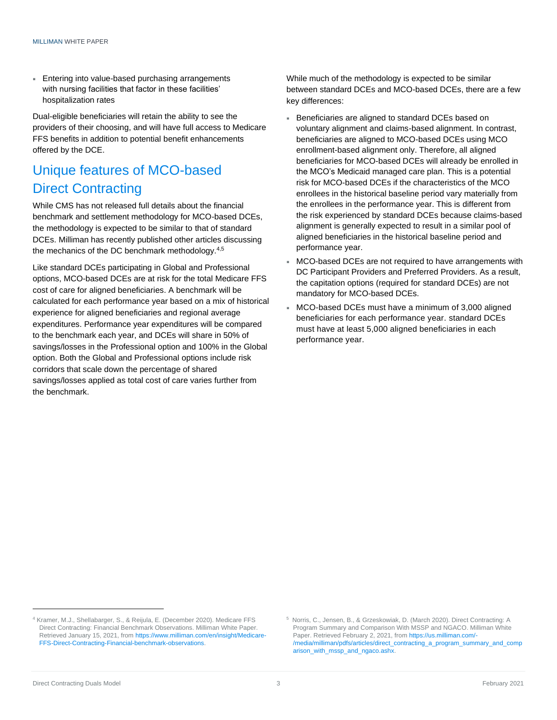**Entering into value-based purchasing arrangements** with nursing facilities that factor in these facilities' hospitalization rates

Dual-eligible beneficiaries will retain the ability to see the providers of their choosing, and will have full access to Medicare FFS benefits in addition to potential benefit enhancements offered by the DCE.

# Unique features of MCO-based Direct Contracting

While CMS has not released full details about the financial benchmark and settlement methodology for MCO-based DCEs, the methodology is expected to be similar to that of standard DCEs. Milliman has recently published other articles discussing the mechanics of the DC benchmark methodology.<sup>4,5</sup>

Like standard DCEs participating in Global and Professional options, MCO-based DCEs are at risk for the total Medicare FFS cost of care for aligned beneficiaries. A benchmark will be calculated for each performance year based on a mix of historical experience for aligned beneficiaries and regional average expenditures. Performance year expenditures will be compared to the benchmark each year, and DCEs will share in 50% of savings/losses in the Professional option and 100% in the Global option. Both the Global and Professional options include risk corridors that scale down the percentage of shared savings/losses applied as total cost of care varies further from the benchmark.

While much of the methodology is expected to be similar between standard DCEs and MCO-based DCEs, there are a few key differences:

- Beneficiaries are aligned to standard DCEs based on voluntary alignment and claims-based alignment. In contrast, beneficiaries are aligned to MCO-based DCEs using MCO enrollment-based alignment only. Therefore, all aligned beneficiaries for MCO-based DCEs will already be enrolled in the MCO's Medicaid managed care plan. This is a potential risk for MCO-based DCEs if the characteristics of the MCO enrollees in the historical baseline period vary materially from the enrollees in the performance year. This is different from the risk experienced by standard DCEs because claims-based alignment is generally expected to result in a similar pool of aligned beneficiaries in the historical baseline period and performance year.
- MCO-based DCEs are not required to have arrangements with DC Participant Providers and Preferred Providers. As a result, the capitation options (required for standard DCEs) are not mandatory for MCO-based DCEs.
- MCO-based DCEs must have a minimum of 3,000 aligned beneficiaries for each performance year. standard DCEs must have at least 5,000 aligned beneficiaries in each performance year.

<sup>4</sup> Kramer, M.J., Shellabarger, S., & Reijula, E. (December 2020). Medicare FFS Direct Contracting: Financial Benchmark Observations. Milliman White Paper. Retrieved January 15, 2021, from [https://www.milliman.com/en/insight/Medicare-](https://www.milliman.com/en/insight/Medicare-FFS-Direct-Contracting-Financial-benchmark-observations)[FFS-Direct-Contracting-Financial-benchmark-observations.](https://www.milliman.com/en/insight/Medicare-FFS-Direct-Contracting-Financial-benchmark-observations)

<sup>5</sup> [Norris, C., Jensen, B., & Grzeskowiak, D. \(March 2020\). Direct Contracting: A](https://us.milliman.com/-/media/milliman/pdfs/articles/direct_contracting_a_program_summary_and_comparison_with_mssp_and_ngaco.ashx)  [Program Summary and Comparison With MSSP and NGACO. Milliman White](https://us.milliman.com/-/media/milliman/pdfs/articles/direct_contracting_a_program_summary_and_comparison_with_mssp_and_ngaco.ashx)  [Paper. Retrieved February 2, 2021, from https://us.milliman.com/-](https://us.milliman.com/-/media/milliman/pdfs/articles/direct_contracting_a_program_summary_and_comparison_with_mssp_and_ngaco.ashx) [/media/milliman/pdfs/articles/direct\\_contracting\\_a\\_program\\_summary\\_and\\_comp](https://us.milliman.com/-/media/milliman/pdfs/articles/direct_contracting_a_program_summary_and_comparison_with_mssp_and_ngaco.ashx) [arison\\_with\\_mssp\\_and\\_ngaco.ashx.](https://us.milliman.com/-/media/milliman/pdfs/articles/direct_contracting_a_program_summary_and_comparison_with_mssp_and_ngaco.ashx)